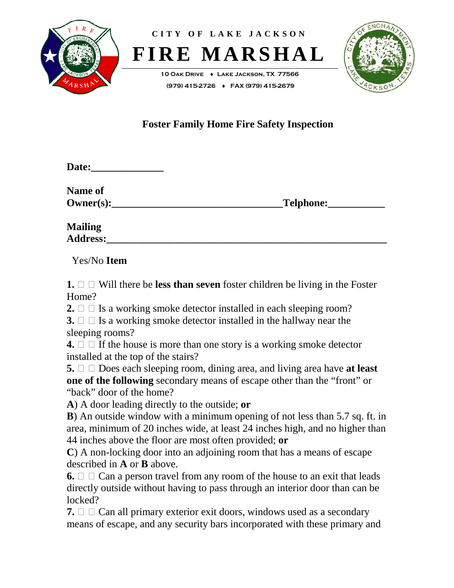

**CITY OF LAKE JACKSON FIRE MARSHAL**

> **10 Oak Drive** ♦ **Lake Jackson, TX 77566 (979) 415-2726** ♦ **FAX (979) 415-2679**



# **Foster Family Home Fire Safety Inspection**

| <b>Date:</b> |
|--------------|
|--------------|

**Name of Owner(s):** Telphone:

**Mailing Address:\_\_\_\_\_\_\_\_\_\_\_\_\_\_\_\_\_\_\_\_\_\_\_\_\_\_\_\_\_\_\_\_\_\_\_\_\_\_\_\_\_\_\_\_\_\_\_\_\_\_\_\_\_\_**

Yes/No **Item**

**1.**  $\Box$   $\Box$  Will there be **less than seven** foster children be living in the Foster Home?

**2.**  $\Box$  Is a working smoke detector installed in each sleeping room?

**3.**  $\Box$  Is a working smoke detector installed in the hallway near the sleeping rooms?

**4.**  $\Box$   $\Box$  If the house is more than one story is a working smoke detector installed at the top of the stairs?

**5.**  $\Box$   $\Box$  Does each sleeping room, dining area, and living area have **at least one of the following** secondary means of escape other than the "front" or "back" door of the home?

**A**) A door leading directly to the outside; **or**

**B**) An outside window with a minimum opening of not less than 5.7 sq. ft. in area, minimum of 20 inches wide, at least 24 inches high, and no higher than 44 inches above the floor are most often provided; **or**

**C**) A non-locking door into an adjoining room that has a means of escape described in **A** or **B** above.

**6.**  $\Box$   $\Box$  Can a person travel from any room of the house to an exit that leads directly outside without having to pass through an interior door than can be locked?

**7.**  $\Box$   $\Box$  Can all primary exterior exit doors, windows used as a secondary means of escape, and any security bars incorporated with these primary and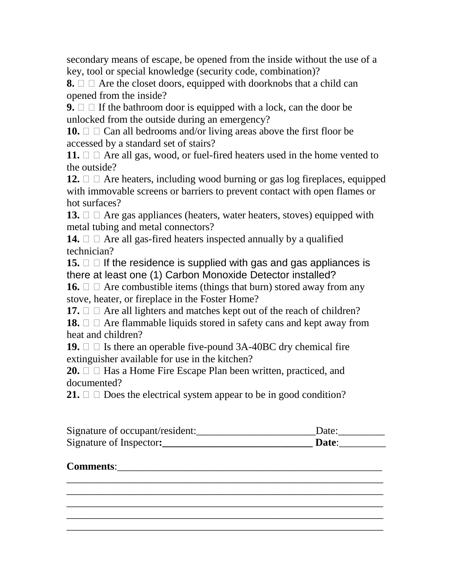secondary means of escape, be opened from the inside without the use of a key, tool or special knowledge (security code, combination)?

**8.**  $\Box$   $\Box$  Are the closet doors, equipped with doorknobs that a child can opened from the inside?

**9.**  $\Box$  If the bathroom door is equipped with a lock, can the door be unlocked from the outside during an emergency?

**10.**  $\Box$   $\Box$  Can all bedrooms and/or living areas above the first floor be accessed by a standard set of stairs?

**11.**  $\Box$   $\Box$  Are all gas, wood, or fuel-fired heaters used in the home vented to the outside?

**12.**  $\Box$   $\Box$  Are heaters, including wood burning or gas log fireplaces, equipped with immovable screens or barriers to prevent contact with open flames or hot surfaces?

**13.**  $\Box$   $\Box$  Are gas appliances (heaters, water heaters, stoves) equipped with metal tubing and metal connectors?

**14.**  $\Box$   $\Box$  Are all gas-fired heaters inspected annually by a qualified technician?

**15.**  $\Box$  If the residence is supplied with gas and gas appliances is there at least one (1) Carbon Monoxide Detector installed?

**16.**  $\Box$   $\Box$  Are combustible items (things that burn) stored away from any stove, heater, or fireplace in the Foster Home?

**17.**  $\Box$   $\Box$  Are all lighters and matches kept out of the reach of children?

**18.**  $\Box$   $\Box$  Are flammable liquids stored in safety cans and kept away from heat and children?

**19.**  $\Box$  Is there an operable five-pound 3A-40BC dry chemical fire extinguisher available for use in the kitchen?

**20.**  $\Box$  Has a Home Fire Escape Plan been written, practiced, and documented?

**21.**  $\Box$   $\Box$  Does the electrical system appear to be in good condition?

| Signature of occupant/resident: | Date: |
|---------------------------------|-------|
| Signature of Inspector:         | Date: |

## **Comments:**

\_\_\_\_\_\_\_\_\_\_\_\_\_\_\_\_\_\_\_\_\_\_\_\_\_\_\_\_\_\_\_\_\_\_\_\_\_\_\_\_\_\_\_\_\_\_\_\_\_\_\_\_\_\_\_\_\_\_\_\_\_ \_\_\_\_\_\_\_\_\_\_\_\_\_\_\_\_\_\_\_\_\_\_\_\_\_\_\_\_\_\_\_\_\_\_\_\_\_\_\_\_\_\_\_\_\_\_\_\_\_\_\_\_\_\_\_\_\_\_\_\_\_ \_\_\_\_\_\_\_\_\_\_\_\_\_\_\_\_\_\_\_\_\_\_\_\_\_\_\_\_\_\_\_\_\_\_\_\_\_\_\_\_\_\_\_\_\_\_\_\_\_\_\_\_\_\_\_\_\_\_\_\_\_ \_\_\_\_\_\_\_\_\_\_\_\_\_\_\_\_\_\_\_\_\_\_\_\_\_\_\_\_\_\_\_\_\_\_\_\_\_\_\_\_\_\_\_\_\_\_\_\_\_\_\_\_\_\_\_\_\_\_\_\_\_ \_\_\_\_\_\_\_\_\_\_\_\_\_\_\_\_\_\_\_\_\_\_\_\_\_\_\_\_\_\_\_\_\_\_\_\_\_\_\_\_\_\_\_\_\_\_\_\_\_\_\_\_\_\_\_\_\_\_\_\_\_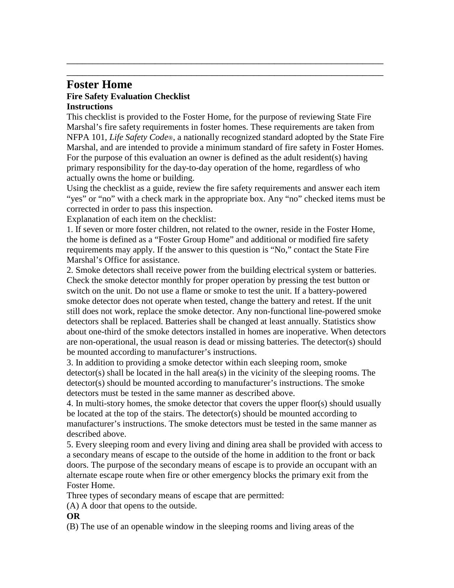## **Foster Home Fire Safety Evaluation Checklist Instructions**

This checklist is provided to the Foster Home, for the purpose of reviewing State Fire Marshal's fire safety requirements in foster homes. These requirements are taken from NFPA 101, *Life Safety Code*®, a nationally recognized standard adopted by the State Fire Marshal, and are intended to provide a minimum standard of fire safety in Foster Homes. For the purpose of this evaluation an owner is defined as the adult resident(s) having primary responsibility for the day-to-day operation of the home, regardless of who actually owns the home or building.

\_\_\_\_\_\_\_\_\_\_\_\_\_\_\_\_\_\_\_\_\_\_\_\_\_\_\_\_\_\_\_\_\_\_\_\_\_\_\_\_\_\_\_\_\_\_\_\_\_\_\_\_\_\_\_\_\_\_\_\_\_ \_\_\_\_\_\_\_\_\_\_\_\_\_\_\_\_\_\_\_\_\_\_\_\_\_\_\_\_\_\_\_\_\_\_\_\_\_\_\_\_\_\_\_\_\_\_\_\_\_\_\_\_\_\_\_\_\_\_\_\_\_

Using the checklist as a guide, review the fire safety requirements and answer each item "yes" or "no" with a check mark in the appropriate box. Any "no" checked items must be corrected in order to pass this inspection.

Explanation of each item on the checklist:

1. If seven or more foster children, not related to the owner, reside in the Foster Home, the home is defined as a "Foster Group Home" and additional or modified fire safety requirements may apply. If the answer to this question is "No," contact the State Fire Marshal's Office for assistance.

2. Smoke detectors shall receive power from the building electrical system or batteries. Check the smoke detector monthly for proper operation by pressing the test button or switch on the unit. Do not use a flame or smoke to test the unit. If a battery-powered smoke detector does not operate when tested, change the battery and retest. If the unit still does not work, replace the smoke detector. Any non-functional line-powered smoke detectors shall be replaced. Batteries shall be changed at least annually. Statistics show about one-third of the smoke detectors installed in homes are inoperative. When detectors are non-operational, the usual reason is dead or missing batteries. The detector(s) should be mounted according to manufacturer's instructions.

3. In addition to providing a smoke detector within each sleeping room, smoke detector(s) shall be located in the hall area(s) in the vicinity of the sleeping rooms. The detector(s) should be mounted according to manufacturer's instructions. The smoke detectors must be tested in the same manner as described above.

4. In multi-story homes, the smoke detector that covers the upper floor(s) should usually be located at the top of the stairs. The detector(s) should be mounted according to manufacturer's instructions. The smoke detectors must be tested in the same manner as described above.

5. Every sleeping room and every living and dining area shall be provided with access to a secondary means of escape to the outside of the home in addition to the front or back doors. The purpose of the secondary means of escape is to provide an occupant with an alternate escape route when fire or other emergency blocks the primary exit from the Foster Home.

Three types of secondary means of escape that are permitted:

(A) A door that opens to the outside.

**OR**

(B) The use of an openable window in the sleeping rooms and living areas of the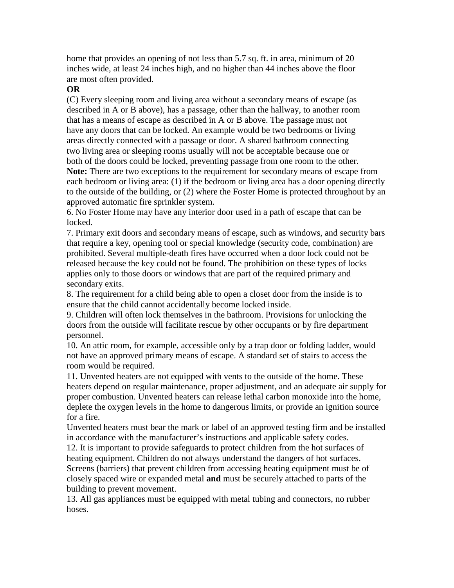home that provides an opening of not less than 5.7 sq. ft. in area, minimum of 20 inches wide, at least 24 inches high, and no higher than 44 inches above the floor are most often provided.

### **OR**

(C) Every sleeping room and living area without a secondary means of escape (as described in A or B above), has a passage, other than the hallway, to another room that has a means of escape as described in A or B above. The passage must not have any doors that can be locked. An example would be two bedrooms or living areas directly connected with a passage or door. A shared bathroom connecting two living area or sleeping rooms usually will not be acceptable because one or both of the doors could be locked, preventing passage from one room to the other. **Note:** There are two exceptions to the requirement for secondary means of escape from each bedroom or living area: (1) if the bedroom or living area has a door opening directly to the outside of the building, or (2) where the Foster Home is protected throughout by an approved automatic fire sprinkler system.

6. No Foster Home may have any interior door used in a path of escape that can be locked.

7. Primary exit doors and secondary means of escape, such as windows, and security bars that require a key, opening tool or special knowledge (security code, combination) are prohibited. Several multiple-death fires have occurred when a door lock could not be released because the key could not be found. The prohibition on these types of locks applies only to those doors or windows that are part of the required primary and secondary exits.

8. The requirement for a child being able to open a closet door from the inside is to ensure that the child cannot accidentally become locked inside.

9. Children will often lock themselves in the bathroom. Provisions for unlocking the doors from the outside will facilitate rescue by other occupants or by fire department personnel.

10. An attic room, for example, accessible only by a trap door or folding ladder, would not have an approved primary means of escape. A standard set of stairs to access the room would be required.

11. Unvented heaters are not equipped with vents to the outside of the home. These heaters depend on regular maintenance, proper adjustment, and an adequate air supply for proper combustion. Unvented heaters can release lethal carbon monoxide into the home, deplete the oxygen levels in the home to dangerous limits, or provide an ignition source for a fire.

Unvented heaters must bear the mark or label of an approved testing firm and be installed in accordance with the manufacturer's instructions and applicable safety codes.

12. It is important to provide safeguards to protect children from the hot surfaces of heating equipment. Children do not always understand the dangers of hot surfaces. Screens (barriers) that prevent children from accessing heating equipment must be of closely spaced wire or expanded metal **and** must be securely attached to parts of the building to prevent movement.

13. All gas appliances must be equipped with metal tubing and connectors, no rubber hoses.